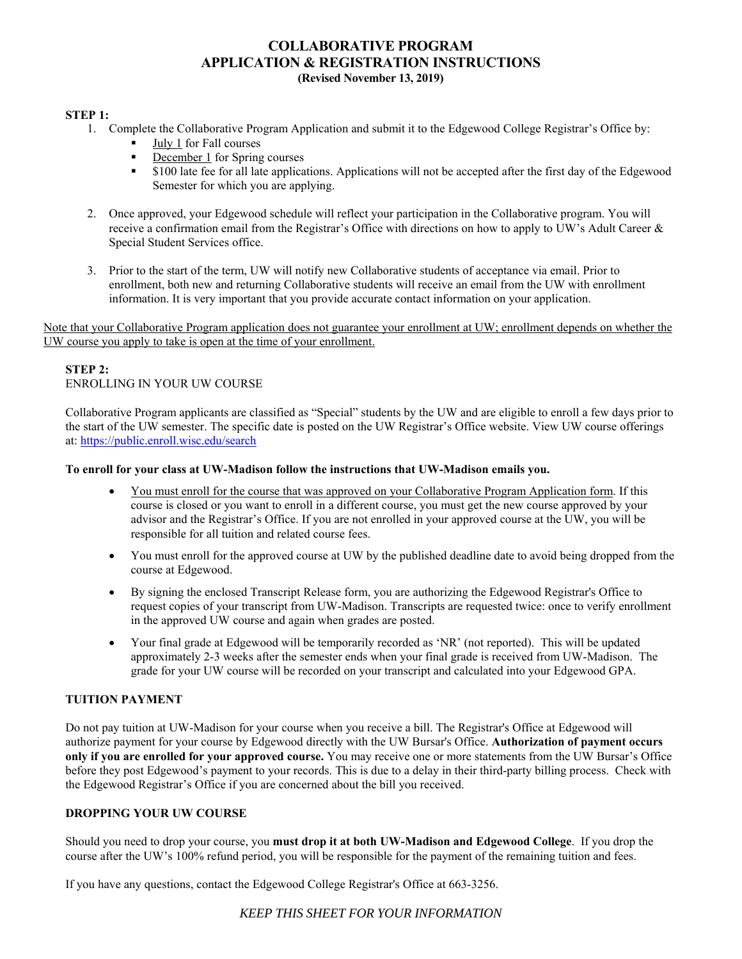## **COLLABORATIVE PROGRAM APPLICATION & REGISTRATION INSTRUCTIONS (Revised November 13, 2019)**

#### **STEP 1:**

- 1. Complete the Collaborative Program Application and submit it to the Edgewood College Registrar's Office by:
	- July 1 for Fall courses
	- December 1 for Spring courses
	- \$100 late fee for all late applications. Applications will not be accepted after the first day of the Edgewood Semester for which you are applying.
- 2. Once approved, your Edgewood schedule will reflect your participation in the Collaborative program. You will receive a confirmation email from the Registrar's Office with directions on how to apply to UW's Adult Career  $\&$ Special Student Services office.
- 3. Prior to the start of the term, UW will notify new Collaborative students of acceptance via email. Prior to enrollment, both new and returning Collaborative students will receive an email from the UW with enrollment information. It is very important that you provide accurate contact information on your application.

Note that your Collaborative Program application does not guarantee your enrollment at UW; enrollment depends on whether the UW course you apply to take is open at the time of your enrollment.

### **STEP 2:**  ENROLLING IN YOUR UW COURSE

Collaborative Program applicants are classified as "Special" students by the UW and are eligible to enroll a few days prior to the start of the UW semester. The specific date is posted on the UW Registrar's Office website. View UW course offerings at: https://public.enroll.wisc.edu/search

#### **To enroll for your class at UW-Madison follow the instructions that UW-Madison emails you.**

- You must enroll for the course that was approved on your Collaborative Program Application form. If this course is closed or you want to enroll in a different course, you must get the new course approved by your advisor and the Registrar's Office. If you are not enrolled in your approved course at the UW, you will be responsible for all tuition and related course fees.
- You must enroll for the approved course at UW by the published deadline date to avoid being dropped from the course at Edgewood.
- By signing the enclosed Transcript Release form, you are authorizing the Edgewood Registrar's Office to request copies of your transcript from UW-Madison. Transcripts are requested twice: once to verify enrollment in the approved UW course and again when grades are posted.
- Your final grade at Edgewood will be temporarily recorded as 'NR' (not reported). This will be updated approximately 2-3 weeks after the semester ends when your final grade is received from UW-Madison. The grade for your UW course will be recorded on your transcript and calculated into your Edgewood GPA.

#### **TUITION PAYMENT**

Do not pay tuition at UW-Madison for your course when you receive a bill. The Registrar's Office at Edgewood will authorize payment for your course by Edgewood directly with the UW Bursar's Office. **Authorization of payment occurs only if you are enrolled for your approved course.** You may receive one or more statements from the UW Bursar's Office before they post Edgewood's payment to your records. This is due to a delay in their third-party billing process. Check with the Edgewood Registrar's Office if you are concerned about the bill you received.

#### **DROPPING YOUR UW COURSE**

Should you need to drop your course, you **must drop it at both UW-Madison and Edgewood College**. If you drop the course after the UW's 100% refund period, you will be responsible for the payment of the remaining tuition and fees.

If you have any questions, contact the Edgewood College Registrar's Office at 663-3256.

## *KEEP THIS SHEET FOR YOUR INFORMATION*